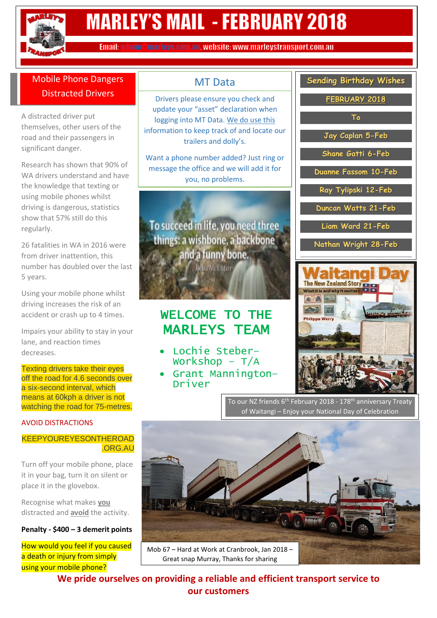

## **MARLEY'S MAIL - FEBRUARY 2018**

Email: admin @marleys.com.au. website: www.marleystransport.com.au

#### Mobile Phone Dangers Distracted Drivers

A distracted driver put themselves, other users of the road and their passengers in significant danger.

Research has shown that 90% of WA drivers understand and have the knowledge that texting or using mobile phones whilst driving is dangerous, statistics show that 57% still do this regularly.

26 fatalities in WA in 2016 were from driver inattention, this number has doubled over the last 5 years.

Using your mobile phone whilst driving increases the risk of an accident or crash up to 4 times.

Impairs your ability to stay in your lane, and reaction times decreases.

Texting drivers take their eves off the road for 4.6 seconds over a six-second interval, which means at 60kph a driver is not watching the road for 75-metres.

#### AVOID DISTRACTIONS

#### KEEPYOUREYESONTHEROAD .ORG.AU

Turn off your mobile phone, place it in your bag, turn it on silent or place it in the glovebox.

Recognise what makes **you** distracted and **avoid** the activity.

#### **Penalty - \$400 – 3 demerit points**

How would you feel if you caused a death or injury from simply using your mobile phone?

#### MT Data

Drivers please ensure you check and update your "asset" declaration when logging into MT Data. We do use this information to keep track of and locate our trailers and dolly's.

Want a phone number added? Just ring or message the office and we will add it for you, no problems.

To succeed in life, you need three things: a wishbone, a backbone and a funny bone. **Reba MeEntire** 

## WELCOME TO THE MARLEYS TEAM

- Lochie Steber– Workshop  $- T/A$
- Grant Mannington– Driver

| <b>Sending Birthday Wishes</b><br>FEBRUARY 2018<br>To<br>Jay Caplan 5-Feb<br>Shane Gatti 6-Feb<br>Duanne Fassom 10-Feb<br>Ray Tylipski 12-Feb<br>Duncan Watts 21-Feb<br>Liam Ward 21-Feb<br>Nathan Wright 28-Feb |  |
|------------------------------------------------------------------------------------------------------------------------------------------------------------------------------------------------------------------|--|
|                                                                                                                                                                                                                  |  |
|                                                                                                                                                                                                                  |  |
|                                                                                                                                                                                                                  |  |
|                                                                                                                                                                                                                  |  |
|                                                                                                                                                                                                                  |  |
|                                                                                                                                                                                                                  |  |
|                                                                                                                                                                                                                  |  |
|                                                                                                                                                                                                                  |  |
|                                                                                                                                                                                                                  |  |
|                                                                                                                                                                                                                  |  |
|                                                                                                                                                                                                                  |  |
|                                                                                                                                                                                                                  |  |
|                                                                                                                                                                                                                  |  |
|                                                                                                                                                                                                                  |  |
|                                                                                                                                                                                                                  |  |
|                                                                                                                                                                                                                  |  |
|                                                                                                                                                                                                                  |  |
|                                                                                                                                                                                                                  |  |
|                                                                                                                                                                                                                  |  |
|                                                                                                                                                                                                                  |  |
|                                                                                                                                                                                                                  |  |



To our NZ friends 6<sup>th</sup> February 2018 - 178<sup>th</sup> anniversary Treaty of Waitangi – Enjoy your National Day of Celebration



Great snap Murray, Thanks for sharing

**We pride ourselves on providing a reliable and efficient transport service to our customers**